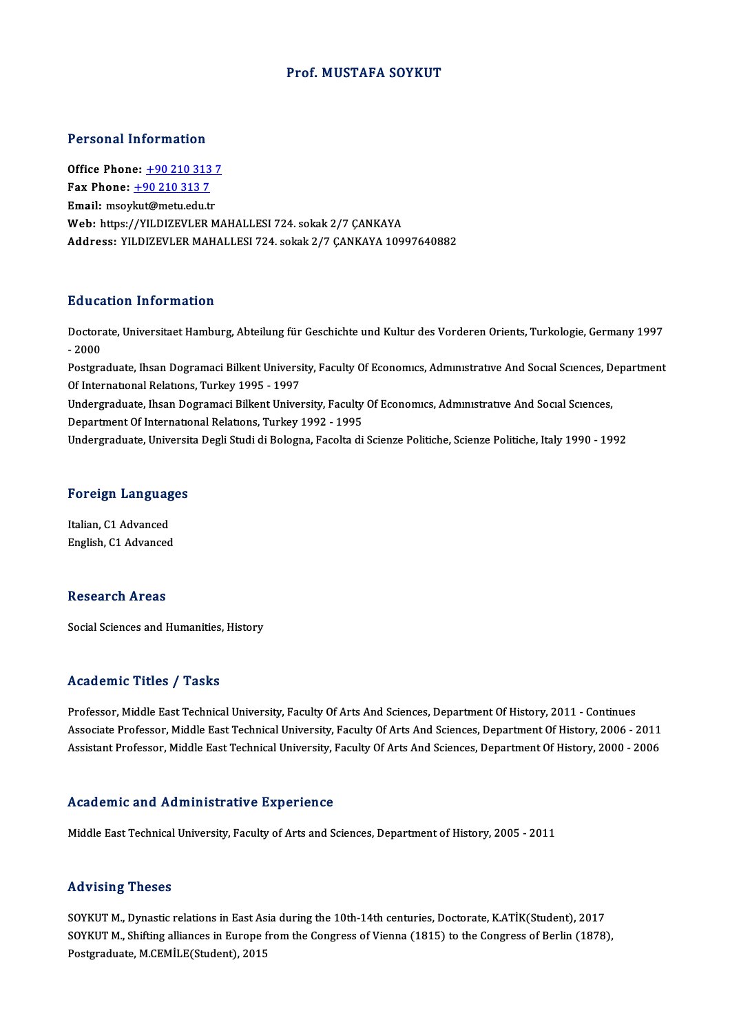### Prof.MUSTAFA SOYKUT

#### Personal Information

Personal Information<br>Office Phone: <u>+90 210 313 7</u><br>Fax Phone: 190 210 212 7 office Phone: <u>+90 210 313</u><br>Fax Phone: <u>+90 210 313 7</u><br>Fmail: msoulaut@metu.edu.tr Office Phone: <u>+90 210 313 7</u><br>Fax Phone: <u>+90 210 313 7</u><br>Email: msoy[kut@metu.edu.tr](tel:+90 210 313 7)<br>Web: https://VII DI7FVI FP M Fax Phone: <u>+90 210 313 7</u><br>Email: msoykut@metu.edu.tr<br>Web: https://YILDIZEVLER MAHALLESI 724. sokak 2/7 ÇANKAYA Address: YILDIZEVLER MAHALLESI 724. sokak 2/7 ÇANKAYA 10997640882

### Education Information

**Education Information**<br>Doctorate, Universitaet Hamburg, Abteilung für Geschichte und Kultur des Vorderen Orients, Turkologie, Germany 1997<br>2000 Ductors<br>Doctors<br>- 2000 Doctorate, Universitaet Hamburg, Abteilung für Geschichte und Kultur des Vorderen Orients, Turkologie, Germany 1997<br>- 2000<br>Postgraduate, Ihsan Dogramaci Bilkent University, Faculty Of Economics, Administrative And Social S

- 2000<br>Postgraduate, Ihsan Dogramaci Bilkent Universi<br>Of International Relations, Turkey 1995 - 1997<br>Undergraduate, Ibsan Dogramaci Billiant Univer Postgraduate, Ihsan Dogramaci Bilkent University, Faculty Of Economics, Administrative And Social Sciences, D<br>Of International Relations, Turkey 1995 - 1997<br>Undergraduate, Ihsan Dogramaci Bilkent University, Faculty Of Eco

Of International Relations, Turkey 1995 - 1997<br>Undergraduate, Ihsan Dogramaci Bilkent University, Faculty Of Economics, Administrative And Social Sciences,<br>Department Of International Relations, Turkey 1992 - 1995

Undergraduate, Universita Degli Studi di Bologna, Facolta di Scienze Politiche, Scienze Politiche, Italy 1990 - 1992

# <sub>Undergraduate, Universit<br>Foreign Languages</sub>

**Foreign Languag<br>Italian, C1 Advanced<br>English C1 Advanced** Italian, C1 Advanced<br>English, C1 Advanced

### Research Areas

Social Sciences and Humanities, History

#### Academic Titles / Tasks

Professor, Middle East Technical University, Faculty Of Arts And Sciences, Department Of History, 2011 - Continues Associate Article 7, Austie<br>Professor, Middle East Technical University, Faculty Of Arts And Sciences, Department Of History, 2011 - Continues<br>Associate Professor, Middle East Technical University, Faculty Of Arts And Scie Professor, Middle East Technical University, Faculty Of Arts And Sciences, Department Of History, 2011 - Continues<br>Associate Professor, Middle East Technical University, Faculty Of Arts And Sciences, Department Of History, Assistant Professor, Middle East Technical University, Faculty Of Arts And Sciences, Department Of History, 2000 - 2006<br>Academic and Administrative Experience

Middle East Technical University, Faculty of Arts and Sciences, Department of History, 2005 - 2011

#### Advising Theses

Advising Theses<br>SOYKUT M., Dynastic relations in East Asia during the 10th-14th centuries, Doctorate, K.ATİK(Student), 2017<br>SOVKUT M. Shifting allianese in Europe from the Congress of Vienne (1915) to the Congress of Borli YOV YONG YNCOOS<br>SOYKUT M., Dynastic relations in East Asia during the 10th-14th centuries, Doctorate, K.ATİK(Student), 2017<br>SOYKUT M., Shifting alliances in Europe from the Congress of Vienna (1815) to the Congress of Berl SOYKUT M., Dynastic relations in East As<br>SOYKUT M., Shifting alliances in Europe f<br>Postgraduate, M.CEMİLE(Student), 2015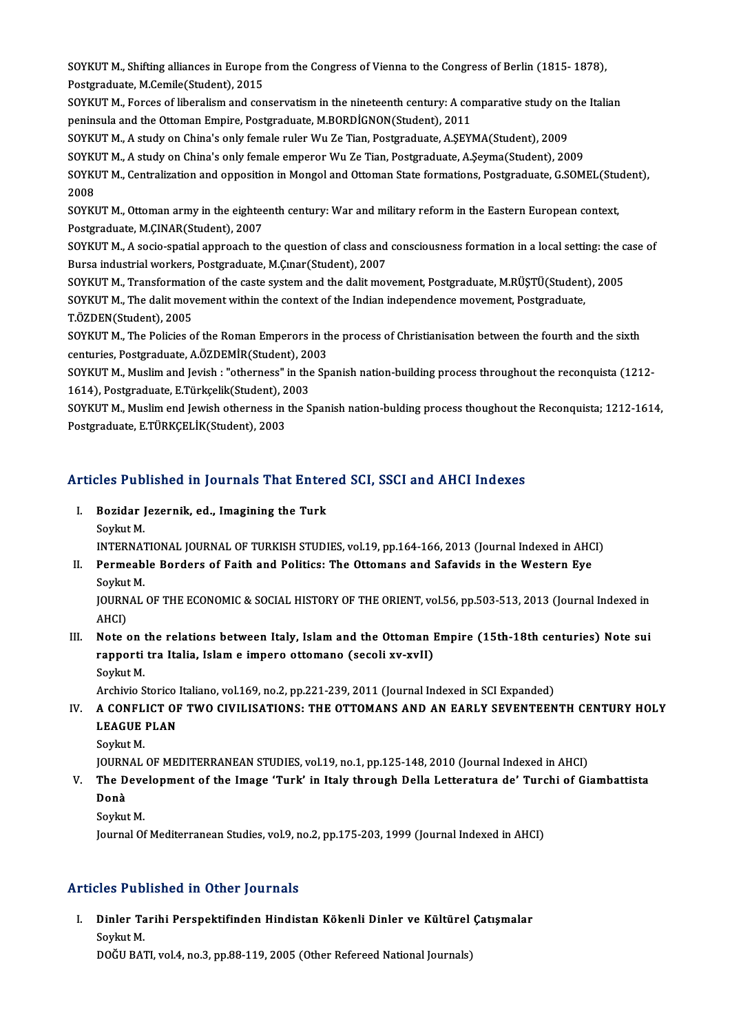SOYKUT M., Shifting alliances in Europe from the Congress of Vienna to the Congress of Berlin (1815- 1878),<br>Restanduate M.Comile(Student), 2015 SOYKUT M., Shifting alliances in Europe<br>Postgraduate, M.Cemile(Student), 2015<br>SOVKUT M. Forses of liberaliam and sen SOYKUT M., Shifting alliances in Europe from the Congress of Vienna to the Congress of Berlin (1815- 1878),<br>Postgraduate, M.Cemile(Student), 2015<br>SOYKUT M., Forces of liberalism and conservatism in the nineteenth century:

Postgraduate, M.Cemile(Student), 2015<br>SOYKUT M., Forces of liberalism and conservatism in the nineteenth century: A comparative study on the Italian<br>peninsula and the Ottoman Empire, Postgraduate, M.BORDİGNON(Student), 201

SOYKUT M., A study on China's only female ruler Wu Ze Tian, Postgraduate, A.ŞEYMA(Student), 2009

SOYKUT M., A study on China's only female emperor Wu Ze Tian, Postgraduate, A.Şeyma(Student), 2009

SOYKUT M., A study on China's only female ruler Wu Ze Tian, Postgraduate, A.ŞEYMA(Student), 2009<br>SOYKUT M., A study on China's only female emperor Wu Ze Tian, Postgraduate, A.Şeyma(Student), 2009<br>SOYKUT M., Centralization 200<mark>8</mark><br>2008<br>2008 SOYKUT M., Centralization and opposition in Mongol and Ottoman State formations, Postgraduate, G.SOMEL(Stu<br>2008<br>SOYKUT M., Ottoman army in the eighteenth century: War and military reform in the Eastern European context,<br>Po

2008<br>SOYKUT M., Ottoman army in the eighteenth century: War and military reform in the Eastern European context,<br>Postgraduate, M.ÇINAR(Student), 2007 SOYKUT M., Ottoman army in the eighteenth century: War and military reform in the Eastern European context,<br>Postgraduate, M.ÇINAR(Student), 2007<br>SOYKUT M., A socio-spatial approach to the question of class and consciousnes

Postgraduate, M.ÇINAR(Student), 2007<br>SOYKUT M., A socio-spatial approach to the question of class and<br>Bursa industrial workers, Postgraduate, M.Çınar(Student), 2007<br>SOYKUT M. Transformation of the saste system and the dali SOYKUT M., A socio-spatial approach to the question of class and consciousness formation in a local setting: the c<br>Bursa industrial workers, Postgraduate, M.Çınar(Student), 2007<br>SOYKUT M., Transformation of the caste syste

Bursa industrial workers, Postgraduate, M.Çınar(Student), 2007<br>SOYKUT M., Transformation of the caste system and the dalit movement, Postgraduate, M.RÜŞTÜ(Student<br>SOYKUT M., The dalit movement within the context of the Ind SOYKUT M., Transformation<br>SOYKUT M., The dalit mov<br>T.ÖZDEN(Student), 2005<br>SOYKUT M. The Belisies e SOYKUT M., The dalit movement within the context of the Indian independence movement, Postgraduate,<br>T.ÖZDEN(Student), 2005<br>SOYKUT M., The Policies of the Roman Emperors in the process of Christianisation between the fourth

T.ÖZDEN(Student), 2005<br>SOYKUT M., The Policies of the Roman Emperors in the<br>centuries, Postgraduate, A.ÖZDEMİR(Student), 2003<br>SOYKUT M. Muslim and Javish : "stherness" in the Sn centuries, Postgraduate, A.ÖZDEMİR(Student), 2003

SOYKUT M., Muslim and Jevish : "otherness" in the Spanish nation-building process throughout the reconquista (1212-<br>1614), Postgraduate, E.Türkçelik(Student), 2003 SOYKUT M., Muslim and Jevish : "otherness" in the Spanish nation-building process throughout the reconquista (1212-<br>1614), Postgraduate, E.Türkçelik(Student), 2003<br>SOYKUT M., Muslim end Jewish otherness in the Spanish nati

1614), Postgraduate, E.Türkçelik(Student), 2<br>SOYKUT M., Muslim end Jewish otherness in<br>Postgraduate, E.TÜRKÇELİK(Student), 2003

# Posigraduale, E.TORKCELIK(Student), 2003<br>Articles Published in Journals That Entered SCI, SSCI and AHCI Indexes

rticles Published in Journals That Enter<br>I. Bozidar Jezernik, ed., Imagining the Turk<br>Sovlut M I. Bozidar Jezernik, ed., Imagining the Turk<br>Soykut M.

INTERNATIONAL JOURNAL OF TURKISH STUDIES, vol.19, pp.164-166, 2013 (Journal Indexed in AHCI)

Soykut M.<br>INTERNATIONAL JOURNAL OF TURKISH STUDIES, vol.19, pp.164-166, 2013 (Journal Indexed in AHC<br>II. Permeable Borders of Faith and Politics: The Ottomans and Safavids in the Western Eye<br>Soulput M INTERNAT<br>Per<mark>meab</mark><br>Soykut M.<br>JOUPNAL Permeable Borders of Faith and Politics: The Ottomans and Safavids in the Western Eye<br>Soykut M.<br>JOURNAL OF THE ECONOMIC & SOCIAL HISTORY OF THE ORIENT, vol.56, pp.503-513, 2013 (Journal Indexed in<br>AHCL

Soykut<br>JOURN<br>AHCI)<br>Note JOURNAL OF THE ECONOMIC & SOCIAL HISTORY OF THE ORIENT, vol.56, pp.503-513, 2013 (Journal Indexed in AHCI)<br>III. Note on the relations between Italy, Islam and the Ottoman Empire (15th-18th centuries) Note sui<br>nanparti tra

AHCI)<br>Note on the relations between Italy, Islam and the Ottoman I<br>rapporti tra Italia, Islam e impero ottomano (secoli xv-xvII)<br>Sevlut M Note on the project<br>Soykut M.<br>Anabivio S rapporti tra Italia, Islam e impero ottomano (secoli xv-xvII)<br>Soykut M.<br>Archivio Storico Italiano, vol.169, no.2, pp.221-239, 2011 (Journal Indexed in SCI Expanded)<br>A CONELICT OF TWO CIVII ISATIONS: THE OTTOMANS AND AN FAR

# Soykut M.<br>Archivio Storico Italiano, vol.169, no.2, pp.221-239, 2011 (Journal Indexed in SCI Expanded)<br>IV. A CONFLICT OF TWO CIVILISATIONS: THE OTTOMANS AND AN EARLY SEVENTEENTH CENTURY HOLY<br>LEAGUE PLAN Archivio Storico<br>A CONFLICT OF<br>LEAGUE PLAN<br>Sovlat M

SoykutM.

JOURNAL OF MEDITERRANEAN STUDIES, vol.19, no.1, pp.125-148, 2010 (Journal Indexed in AHCI)

## Soykut M.<br>JOURNAL OF MEDITERRANEAN STUDIES, vol.19, no.1, pp.125-148, 2010 (Journal Indexed in AHCI)<br>V. The Development of the Image 'Turk' in Italy through Della Letteratura de' Turchi of Giambattista<br>Denà JOURN<br><mark>The D</mark><br>Donà<br>Sovlav The Deve<br>Donà<br>Soykut M.<br>Journal Of Donà<br>Soykut M.<br>Journal Of Mediterranean Studies, vol.9, no.2, pp.175-203, 1999 (Journal Indexed in AHCI)

## Articles Published in Other Journals

rticles Published in Other Journals<br>I. Dinler Tarihi Perspektifinden Hindistan Kökenli Dinler ve Kültürel Çatışmalar<br>Sevlut M Sies I us<br>Dinler Ta<br>Soykut M.<br>DOČU BAT Dinler Tarihi Perspektifinden Hindistan Kökenli Dinler ve Kültürel<br>Soykut M.<br>DOĞU BATI, vol.4, no.3, pp.88-119, 2005 (Other Refereed National Journals)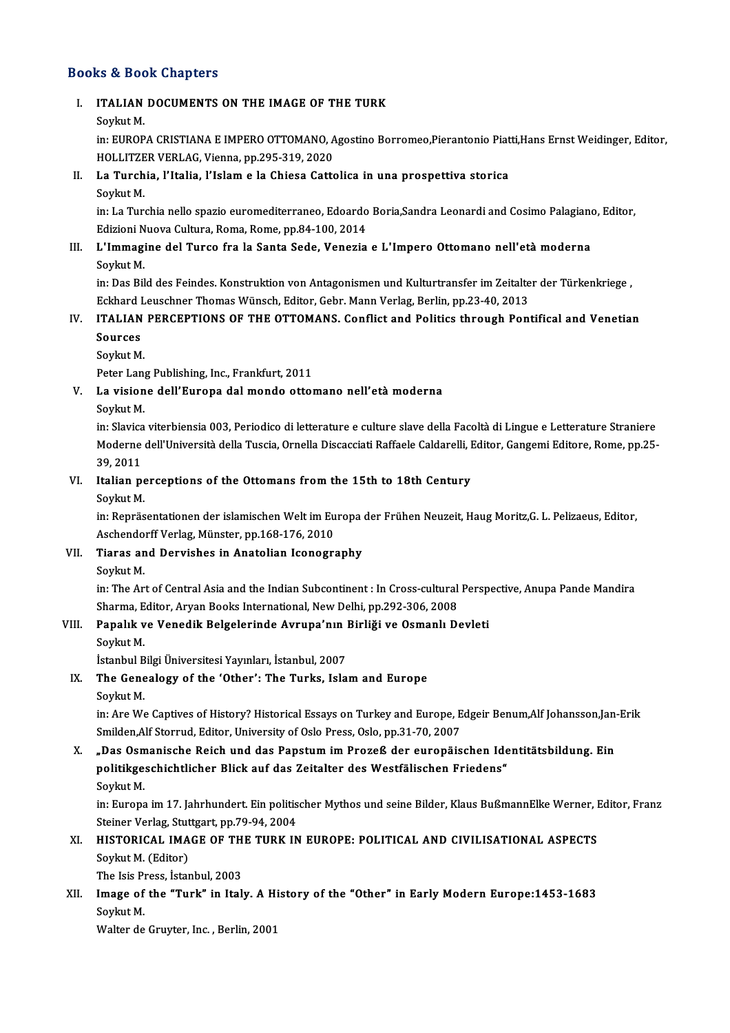## Books&Book Chapters

# OOks & Book Chapters<br>I. ITALIAN DOCUMENTS ON THE IMAGE OF THE TURK ITALIAN<br>ITALIAN<br>Soykut M.

ITALIAN DOCUMENTS ON THE IMAGE OF THE TURK<br>Soykut M.<br>in: EUROPA CRISTIANA E IMPERO OTTOMANO, Agostino Borromeo,Pierantonio Piatti,Hans Ernst Weidinger, Editor,<br>HOLLITZER VERLAC Vienne, np.395-319-2020 Soykut M.<br>in: EUROPA CRISTIANA E IMPERO OTTOMANO, A<br>HOLLITZER VERLAG, Vienna, pp.295-319, 2020<br>Le Turchio, L'Italia, L'Islam e la Chiese Catte in: EUROPA CRISTIANA E IMPERO OTTOMANO, Agostino Borromeo,Pierantonio Piat<br>HOLLITZER VERLAG, Vienna, pp.295-319, 2020<br>II. La Turchia, l'Italia, l'Islam e la Chiesa Cattolica in una prospettiva storica<br>Sovint M

# HOLLITZER VERLAG, Vienna, pp.295-319, 2020<br>II. La Turchia, l'Italia, l'Islam e la Chiesa Cattolica in una prospettiva storica<br>Soykut M.

La Turchia, l'Italia, l'Islam e la Chiesa Cattolica in una prospettiva storica<br>Soykut M.<br>in: La Turchia nello spazio euromediterraneo, Edoardo Boria,Sandra Leonardi and Cosimo Palagiano, Editor,<br>Edizioni Nueva Cultura Rome Soykut M.<br>in: La Turchia nello spazio euromediterraneo, Edoardo<br>Edizioni Nuova Cultura, Roma, Rome, pp.84-100, 2014<br>L'Immagine del Tunse fue la Santa Sode, Venezie in: La Turchia nello spazio euromediterraneo, Edoardo Boria,Sandra Leonardi and Cosimo Palagiano<br>Edizioni Nuova Cultura, Roma, Rome, pp.84-100, 2014<br>III. L'Immagine del Turco fra la Santa Sede, Venezia e L'Impero Ottomano

# Edizioni N<br><mark>L'Immag</mark>i<br>Soykut M.<br>in: Das Pil

Soykut M.<br>in: Das Bild des Feindes. Konstruktion von Antagonismen und Kulturtransfer im Zeitalter der Türkenkriege , Soykut M.<br>in: Das Bild des Feindes. Konstruktion von Antagonismen und Kulturtransfer im Zeitalte<br>Eckhard Leuschner Thomas Wünsch, Editor, Gebr. Mann Verlag, Berlin, pp.23-40, 2013<br>ITALIAN RERCERTIONS OF THE OTTOMANS, Confl in: Das Bild des Feindes. Konstruktion von Antagonismen und Kulturtransfer im Zeitalter der Türkenkriege ,<br>Eckhard Leuschner Thomas Wünsch, Editor, Gebr. Mann Verlag, Berlin, pp.23-40, 2013<br>IV. ITALIAN PERCEPTIONS OF THE O

# Eckhard<br>ITALIAN<br>Sources<br><sup>Soulut M</sup> **ITALIAN<br>Sources<br>Soykut M.**<br>Peter Lan Sources<br>Soykut M.<br>Peter Lang Publishing, Inc., Frankfurt, 2011<br>La visione dell'Eurene del mende etter

# Soykut M.<br>Peter Lang Publishing, Inc., Frankfurt, 2011<br>V. La visione dell'Europa dal mondo ottomano nell'età moderna<br>Soykut M. Peter Lang<br><mark>La vision</mark><br>Soykut M.<br>in Slavice

in: Slavica viterbiensia 003, Periodico di letterature e culture slave della Facoltà di Lingue e Letterature Straniere Soykut M.<br>in: Slavica viterbiensia 003, Periodico di letterature e culture slave della Facoltà di Lingue e Letterature Straniere<br>Moderne dell'Università della Tuscia, Ornella Discacciati Raffaele Caldarelli, Editor, Gangem in: Slavica<br>Moderne<br>39, 2011<br>Italian n Moderne dell'Università della Tuscia, Ornella Discacciati Raffaele Caldarelli, I<br>39, 2011<br>VI. Italian perceptions of the Ottomans from the 15th to 18th Century<br>Sovint M 39, 2011<br>Italian pe<br>Soykut M.<br>in: Penrës

Italian perceptions of the Ottomans from the 15th to 18th Century<br>Soykut M.<br>in: Repräsentationen der islamischen Welt im Europa der Frühen Neuzeit, Haug Moritz,G. L. Pelizaeus, Editor,<br>Assbandarff Varles, Münster, pp.169,1 Soykut M.<br>in: Repräsentationen der islamischen Welt im Eu<br>Aschendorff Verlag, Münster, pp.168-176, 2010<br>Tianas and Danvishes in Anatalian Isanegru Aschendorff Verlag, Münster, pp.168-176, 2010

## VII. Tiaras and Dervishes in Anatolian Iconography<br>Soykut M.

in: The Art of Central Asia and the Indian Subcontinent : In Cross-cultural Perspective, Anupa Pande Mandira Soykut M.<br>in: The Art of Central Asia and the Indian Subcontinent : In Cross-cultural<br>Sharma, Editor, Aryan Books International, New Delhi, pp.292-306, 2008<br>Panalik ve Venedik Belgelarinde Avrune'nın Birliği ve Osmanlı D. in: The Art of Central Asia and the Indian Subcontinent : In Cross-cultural Persp<br>Sharma, Editor, Aryan Books International, New Delhi, pp.292-306, 2008<br>VIII. Papalık ve Venedik Belgelerinde Avrupa'nın Birliği ve Osmanlı D Sharma, E<br><mark>Papalık v</mark><br>Soykut M.<br>İstanbul P

# Papalık ve Venedik Belgelerinde Avrupa'nın |<br>Soykut M.<br>İstanbul Bilgi Üniversitesi Yayınları, İstanbul, 2007<br>The Cenealegy of the 'Other': The Turks, Isla

İstanbul Bilgi Üniversitesi Yayınları, İstanbul, 2007

# Soykut M.<br>Istanbul Bilgi Üniversitesi Yayınları, İstanbul, 2007<br>IX. The Genealogy of the 'Other': The Turks, Islam and Europe<br>Sovkut M.

The Genealogy of the 'Other': The Turks, Islam and Europe<br>Soykut M.<br>in: Are We Captives of History? Historical Essays on Turkey and Europe, Edgeir Benum,Alf Johansson,Jan-Erik<br>Smilden Alf Sterrud, Editer, University of Osl Soykut M.<br>in: Are We Captives of History? Historical Essays on Turkey and Europe, E<br>Smilden,Alf Storrud, Editor, University of Oslo Press, Oslo, pp.31-70, 2007<br>Des Osmanisshe Beish und des Panstum im Press& der surenäis in: Are We Captives of History? Historical Essays on Turkey and Europe, Edgeir Benum,Alf Johansson,Jan-<br>Smilden,Alf Storrud, Editor, University of Oslo Press, Oslo, pp.31-70, 2007<br>X. "Das Osmanische Reich und das Papstum i

# Smilden,Alf Storrud, Editor, University of Oslo Press, Oslo, pp.31-70, 2007<br>"Das Osmanische Reich und das Papstum im Prozeß der europäischen Ide<br>politikgeschichtlicher Blick auf das Zeitalter des Westfälischen Friedens"<br>Se "Das Osm<br>politikge:<br>Soykut M.<br>in:Eurona

politikgeschichtlicher Blick auf das Zeitalter des Westfälischen Friedens"<br>Soykut M.<br>in: Europa im 17. Jahrhundert. Ein politischer Mythos und seine Bilder, Klaus BußmannElke Werner, Editor, Franz Soykut M.<br>in: Europa im 17. Jahrhundert. Ein politis<br>Steiner Verlag, Stuttgart, pp.79-94, 2004<br>HISTOPICAL, IMACE OF THE TUPK IN in: Europa im 17. Jahrhundert. Ein politischer Mythos und seine Bilder, Klaus BußmannElke Werner, I<br>Steiner Verlag, Stuttgart, pp.79-94, 2004<br>XI. HISTORICAL IMAGE OF THE TURK IN EUROPE: POLITICAL AND CIVILISATIONAL ASPECTS

# Steiner Verlag, Stuttgart, pp.79-94, 2004<br>HISTORICAL IMAGE OF THE TURK II<br>Soykut M. (Editor)<br>The Isis Press, İstanbul, 2003 HISTORICAL IMAGE OF TH<br>Soykut M. (Editor)<br>The Isis Press, İstanbul, 2003<br>Image of the "Turk" in Ital

# Soykut M. (Editor)<br>The Isis Press, İstanbul, 2003<br>XII. Image of the "Turk" in Italy. A History of the "Other" in Early Modern Europe:1453-1683<br>Sovlat M The Isis Pi<br>I<mark>mage of</mark><br>Soykut M.<br>Walter de I<mark>mage of the "Turk" in Italy. A</mark> H:<br>Soykut M.<br>Walter de Gruyter, Inc. , Berlin, 2001